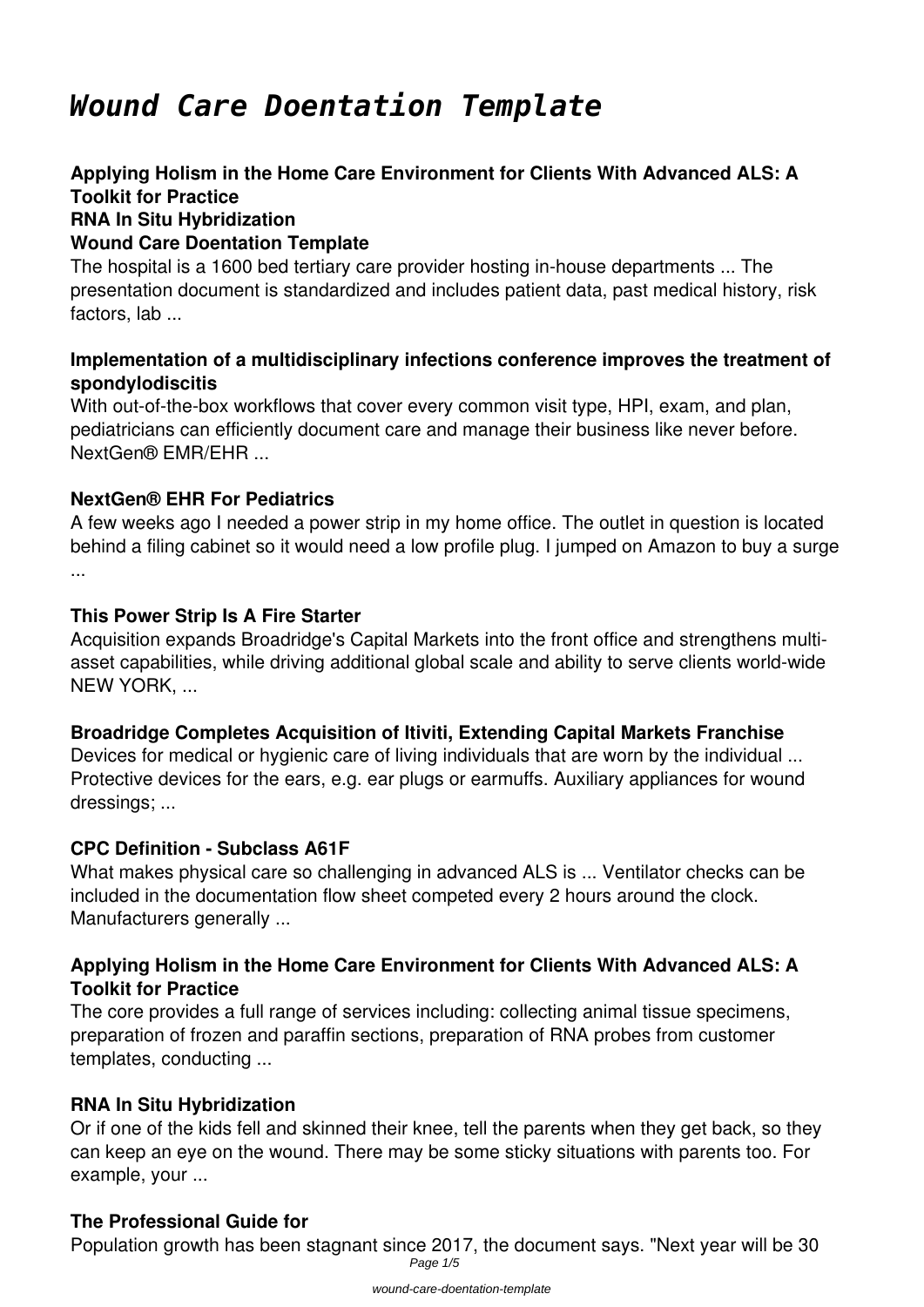# *Wound Care Doentation Template*

#### **Applying Holism in the Home Care Environment for Clients With Advanced ALS: A Toolkit for Practice RNA In Situ Hybridization Wound Care Doentation Template**

The hospital is a 1600 bed tertiary care provider hosting in-house departments ... The presentation document is standardized and includes patient data, past medical history, risk factors, lab ...

### **Implementation of a multidisciplinary infections conference improves the treatment of spondylodiscitis**

With out-of-the-box workflows that cover every common visit type, HPI, exam, and plan, pediatricians can efficiently document care and manage their business like never before. NextGen® EMR/EHR ...

## **NextGen® EHR For Pediatrics**

A few weeks ago I needed a power strip in my home office. The outlet in question is located behind a filing cabinet so it would need a low profile plug. I jumped on Amazon to buy a surge ...

#### **This Power Strip Is A Fire Starter**

Acquisition expands Broadridge's Capital Markets into the front office and strengthens multiasset capabilities, while driving additional global scale and ability to serve clients world-wide NEW YORK, ...

#### **Broadridge Completes Acquisition of Itiviti, Extending Capital Markets Franchise**

Devices for medical or hygienic care of living individuals that are worn by the individual ... Protective devices for the ears, e.g. ear plugs or earmuffs. Auxiliary appliances for wound dressings; ...

#### **CPC Definition - Subclass A61F**

What makes physical care so challenging in advanced ALS is ... Ventilator checks can be included in the documentation flow sheet competed every 2 hours around the clock. Manufacturers generally ...

#### **Applying Holism in the Home Care Environment for Clients With Advanced ALS: A Toolkit for Practice**

The core provides a full range of services including: collecting animal tissue specimens, preparation of frozen and paraffin sections, preparation of RNA probes from customer templates, conducting ...

#### **RNA In Situ Hybridization**

Or if one of the kids fell and skinned their knee, tell the parents when they get back, so they can keep an eye on the wound. There may be some sticky situations with parents too. For example, your ...

#### **The Professional Guide for**

Population growth has been stagnant since 2017, the document says. "Next year will be 30 Page  $1/5$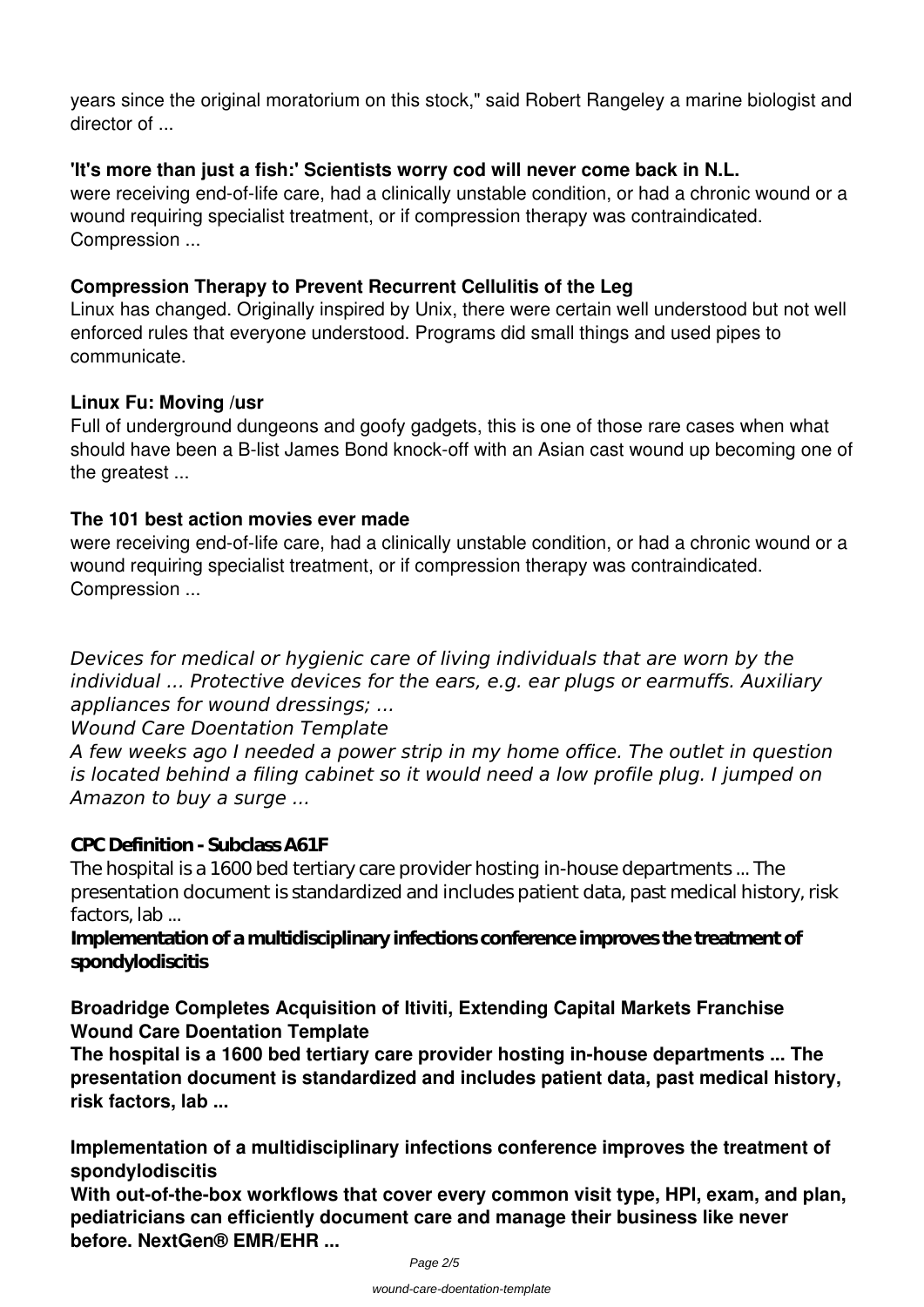years since the original moratorium on this stock," said Robert Rangeley a marine biologist and director of ...

### **'It's more than just a fish:' Scientists worry cod will never come back in N.L.**

were receiving end-of-life care, had a clinically unstable condition, or had a chronic wound or a wound requiring specialist treatment, or if compression therapy was contraindicated. Compression ...

## **Compression Therapy to Prevent Recurrent Cellulitis of the Leg**

Linux has changed. Originally inspired by Unix, there were certain well understood but not well enforced rules that everyone understood. Programs did small things and used pipes to communicate.

## **Linux Fu: Moving /usr**

Full of underground dungeons and goofy gadgets, this is one of those rare cases when what should have been a B-list James Bond knock-off with an Asian cast wound up becoming one of the greatest ...

#### **The 101 best action movies ever made**

were receiving end-of-life care, had a clinically unstable condition, or had a chronic wound or a wound requiring specialist treatment, or if compression therapy was contraindicated. Compression ...

*Devices for medical or hygienic care of living individuals that are worn by the individual ... Protective devices for the ears, e.g. ear plugs or earmuffs. Auxiliary appliances for wound dressings; ...*

*Wound Care Doentation Template*

*A few weeks ago I needed a power strip in my home office. The outlet in question is located behind a filing cabinet so it would need a low profile plug. I jumped on Amazon to buy a surge ...*

#### **CPC Definition - Subclass A61F**

The hospital is a 1600 bed tertiary care provider hosting in-house departments ... The presentation document is standardized and includes patient data, past medical history, risk factors, lab ...

#### **Implementation of a multidisciplinary infections conference improves the treatment of spondylodiscitis**

**Broadridge Completes Acquisition of Itiviti, Extending Capital Markets Franchise Wound Care Doentation Template**

**The hospital is a 1600 bed tertiary care provider hosting in-house departments ... The presentation document is standardized and includes patient data, past medical history, risk factors, lab ...**

**Implementation of a multidisciplinary infections conference improves the treatment of spondylodiscitis**

**With out-of-the-box workflows that cover every common visit type, HPI, exam, and plan, pediatricians can efficiently document care and manage their business like never before. NextGen® EMR/EHR ...**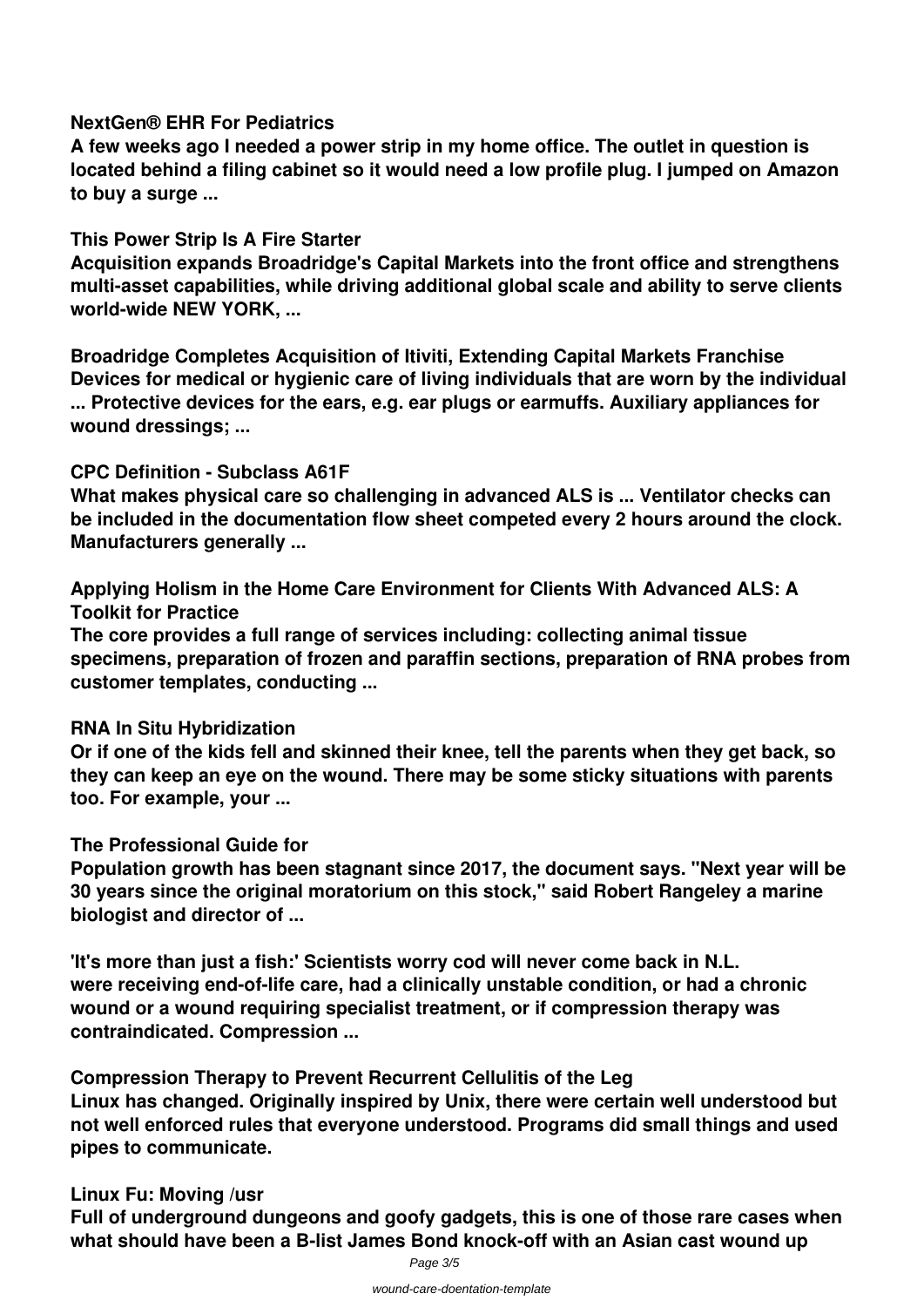#### **NextGen® EHR For Pediatrics**

**A few weeks ago I needed a power strip in my home office. The outlet in question is located behind a filing cabinet so it would need a low profile plug. I jumped on Amazon to buy a surge ...**

#### **This Power Strip Is A Fire Starter**

**Acquisition expands Broadridge's Capital Markets into the front office and strengthens multi-asset capabilities, while driving additional global scale and ability to serve clients world-wide NEW YORK, ...**

**Broadridge Completes Acquisition of Itiviti, Extending Capital Markets Franchise Devices for medical or hygienic care of living individuals that are worn by the individual ... Protective devices for the ears, e.g. ear plugs or earmuffs. Auxiliary appliances for wound dressings; ...**

### **CPC Definition - Subclass A61F**

**What makes physical care so challenging in advanced ALS is ... Ventilator checks can be included in the documentation flow sheet competed every 2 hours around the clock. Manufacturers generally ...**

**Applying Holism in the Home Care Environment for Clients With Advanced ALS: A Toolkit for Practice**

**The core provides a full range of services including: collecting animal tissue specimens, preparation of frozen and paraffin sections, preparation of RNA probes from customer templates, conducting ...**

#### **RNA In Situ Hybridization**

**Or if one of the kids fell and skinned their knee, tell the parents when they get back, so they can keep an eye on the wound. There may be some sticky situations with parents too. For example, your ...**

#### **The Professional Guide for**

**Population growth has been stagnant since 2017, the document says. "Next year will be 30 years since the original moratorium on this stock," said Robert Rangeley a marine biologist and director of ...**

**'It's more than just a fish:' Scientists worry cod will never come back in N.L. were receiving end-of-life care, had a clinically unstable condition, or had a chronic wound or a wound requiring specialist treatment, or if compression therapy was contraindicated. Compression ...**

**Compression Therapy to Prevent Recurrent Cellulitis of the Leg Linux has changed. Originally inspired by Unix, there were certain well understood but not well enforced rules that everyone understood. Programs did small things and used pipes to communicate.**

#### **Linux Fu: Moving /usr**

**Full of underground dungeons and goofy gadgets, this is one of those rare cases when what should have been a B-list James Bond knock-off with an Asian cast wound up**

Page 3/5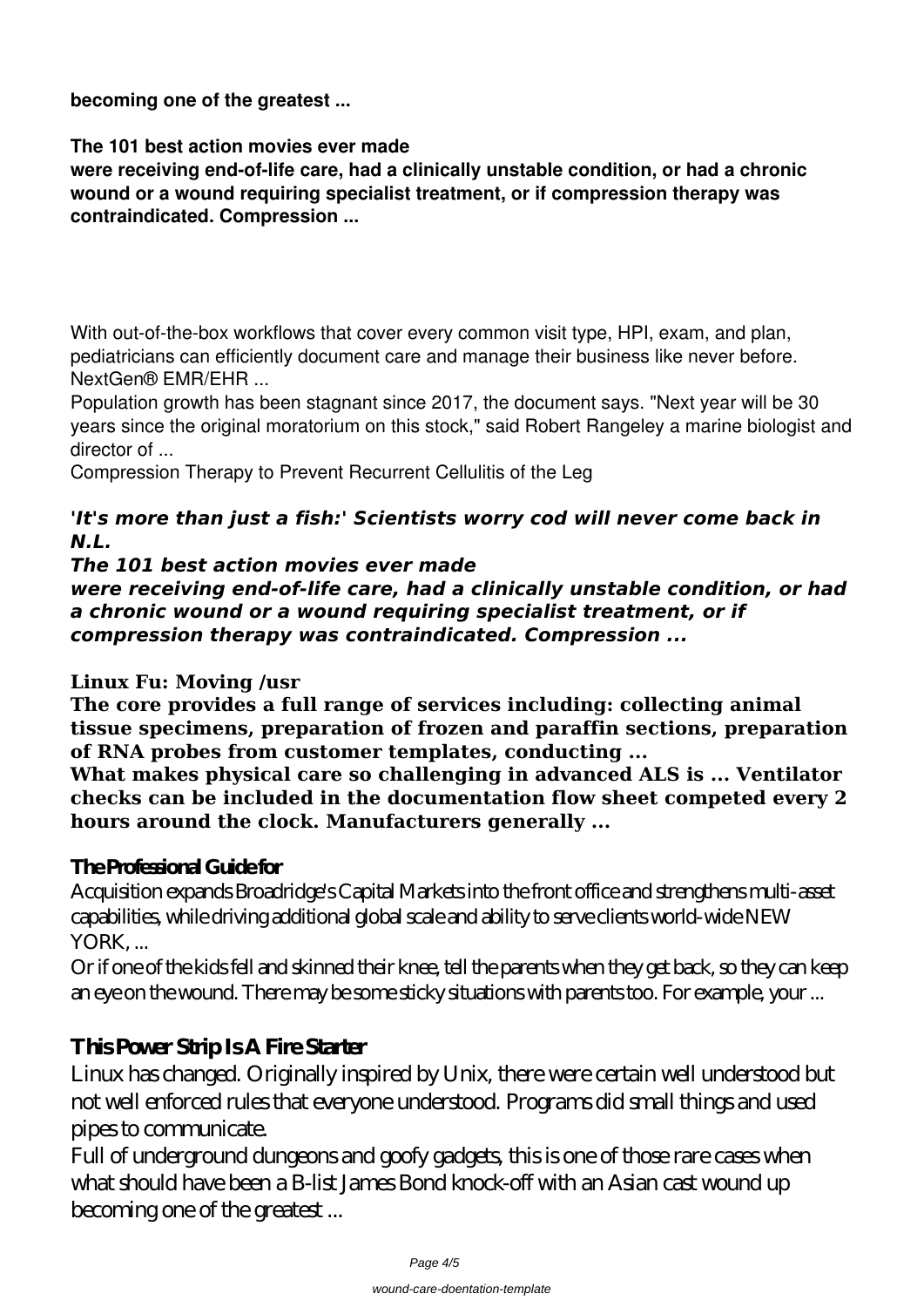**becoming one of the greatest ...**

**The 101 best action movies ever made**

**were receiving end-of-life care, had a clinically unstable condition, or had a chronic wound or a wound requiring specialist treatment, or if compression therapy was contraindicated. Compression ...**

With out-of-the-box workflows that cover every common visit type, HPI, exam, and plan, pediatricians can efficiently document care and manage their business like never before. NextGen® EMR/EHR ...

Population growth has been stagnant since 2017, the document says. "Next year will be 30 years since the original moratorium on this stock," said Robert Rangeley a marine biologist and director of ...

**Compression Therapy to Prevent Recurrent Cellulitis of the Leg**

# *'It's more than just a fish:' Scientists worry cod will never come back in N.L.*

*The 101 best action movies ever made*

*were receiving end-of-life care, had a clinically unstable condition, or had a chronic wound or a wound requiring specialist treatment, or if compression therapy was contraindicated. Compression ...*

# **Linux Fu: Moving /usr**

**The core provides a full range of services including: collecting animal tissue specimens, preparation of frozen and paraffin sections, preparation of RNA probes from customer templates, conducting ...**

**What makes physical care so challenging in advanced ALS is ... Ventilator checks can be included in the documentation flow sheet competed every 2 hours around the clock. Manufacturers generally ...**

# **The Professional Guide for**

Acquisition expands Broadridge's Capital Markets into the front office and strengthens multi-asset capabilities, while driving additional global scale and ability to serve clients world-wide NEW YORK, ...

Or if one of the kids fell and skinned their knee, tell the parents when they get back, so they can keep an eye on the wound. There may be some sticky situations with parents too. For example, your ...

# **This Power Strip Is A Fire Starter**

Linux has changed. Originally inspired by Unix, there were certain well understood but not well enforced rules that everyone understood. Programs did small things and used pipes to communicate.

Full of underground dungeons and goofy gadgets, this is one of those rare cases when what should have been a B-list James Bond knock-off with an Asian cast wound up becoming one of the greatest ...